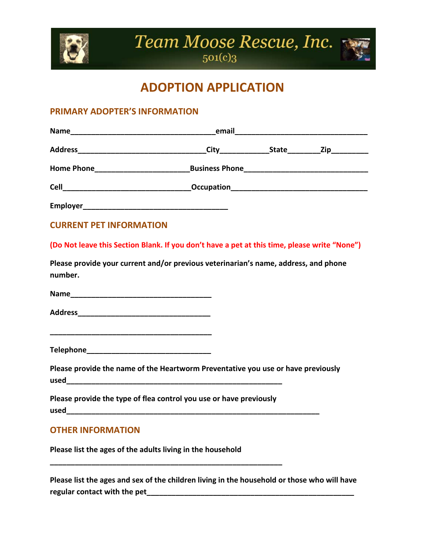

Team Moose Rescue, Inc.



## **ADOPTION APPLICATION**

## **PRIMARY ADOPTER'S INFORMATION**

| <b>CURRENT PET INFORMATION</b>                                                                 |  |  |
|------------------------------------------------------------------------------------------------|--|--|
| (Do Not leave this Section Blank. If you don't have a pet at this time, please write "None")   |  |  |
| Please provide your current and/or previous veterinarian's name, address, and phone<br>number. |  |  |
|                                                                                                |  |  |
|                                                                                                |  |  |
|                                                                                                |  |  |
|                                                                                                |  |  |
| Please provide the name of the Heartworm Preventative you use or have previously               |  |  |
| Please provide the type of flea control you use or have previously                             |  |  |
| <b>OTHER INFORMATION</b>                                                                       |  |  |
| Please list the ages of the adults living in the household                                     |  |  |

**Please list the ages and sex of the children living in the household or those who will have regular contact with the pet\_\_\_\_\_\_\_\_\_\_\_\_\_\_\_\_\_\_\_\_\_\_\_\_\_\_\_\_\_\_\_\_\_\_\_\_\_\_\_\_\_\_\_\_\_\_\_\_\_\_**

**\_\_\_\_\_\_\_\_\_\_\_\_\_\_\_\_\_\_\_\_\_\_\_\_\_\_\_\_\_\_\_\_\_\_\_\_\_\_\_\_\_\_\_\_\_\_\_\_\_\_\_\_\_\_\_\_**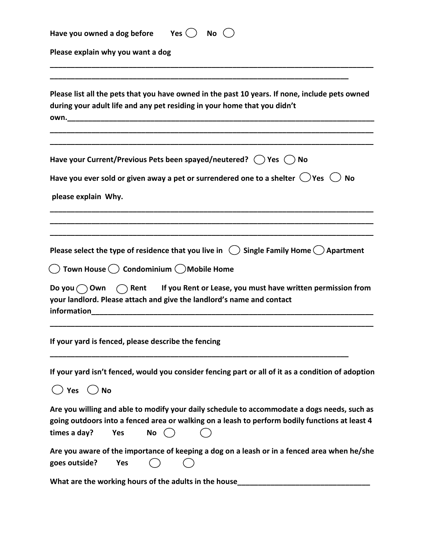| Yes $( )$<br>No(<br>Have you owned a dog before                                                                                                                                                                                                                                                                                                                                                              |
|--------------------------------------------------------------------------------------------------------------------------------------------------------------------------------------------------------------------------------------------------------------------------------------------------------------------------------------------------------------------------------------------------------------|
| Please explain why you want a dog                                                                                                                                                                                                                                                                                                                                                                            |
| Please list all the pets that you have owned in the past 10 years. If none, include pets owned<br>during your adult life and any pet residing in your home that you didn't<br>own. The contract of the contract of the contract of the contract of the contract of the contract of the contract of the contract of the contract of the contract of the contract of the contract of the contract of the contr |
| Have your Current/Previous Pets been spayed/neutered? $\binom{ }{ }$ Yes $\binom{ }{ }$ No                                                                                                                                                                                                                                                                                                                   |
| Have you ever sold or given away a pet or surrendered one to a shelter $\bigcirc$ Yes $\bigcirc$<br><b>No</b>                                                                                                                                                                                                                                                                                                |
| please explain Why.                                                                                                                                                                                                                                                                                                                                                                                          |
|                                                                                                                                                                                                                                                                                                                                                                                                              |
| Please select the type of residence that you live in $\binom{1}{2}$ Single Family Home $\binom{1}{2}$ Apartment                                                                                                                                                                                                                                                                                              |
| Town House ( ) Condominium ( ) Mobile Home                                                                                                                                                                                                                                                                                                                                                                   |
| Do you $\bigcirc$ Own $\bigcirc$ Rent If you Rent or Lease, you must have written permission from<br>your landlord. Please attach and give the landlord's name and contact<br>information                                                                                                                                                                                                                    |
| If your yard is fenced, please describe the fencing                                                                                                                                                                                                                                                                                                                                                          |
| If your yard isn't fenced, would you consider fencing part or all of it as a condition of adoption                                                                                                                                                                                                                                                                                                           |
| $\bigcup$ Yes<br><b>No</b>                                                                                                                                                                                                                                                                                                                                                                                   |
| Are you willing and able to modify your daily schedule to accommodate a dogs needs, such as<br>going outdoors into a fenced area or walking on a leash to perform bodily functions at least 4<br>times a day?<br><b>Yes</b><br>No                                                                                                                                                                            |
| Are you aware of the importance of keeping a dog on a leash or in a fenced area when he/she<br>goes outside?<br>Yes                                                                                                                                                                                                                                                                                          |

**What are the working hours of the adults in the house\_\_\_\_\_\_\_\_\_\_\_\_\_\_\_\_\_\_\_\_\_\_\_\_\_\_\_\_\_\_\_\_**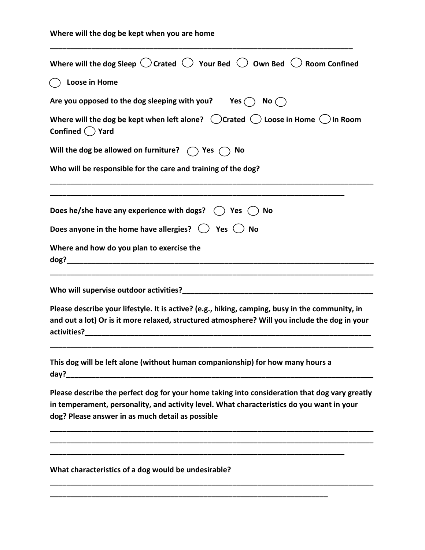| Where will the dog Sleep $\bigcirc$ Crated $\bigcirc$ Your Bed $\bigcirc$ Own Bed $\bigcirc$ Room Confined                                                                                                                                     |
|------------------------------------------------------------------------------------------------------------------------------------------------------------------------------------------------------------------------------------------------|
| (C) Loose in Home                                                                                                                                                                                                                              |
| Are you opposed to the dog sleeping with you? Yes $\bigcap$ No $\bigcap$                                                                                                                                                                       |
| Where will the dog be kept when left alone? $\bigcirc$ Crated $\bigcirc$ Loose in Home $\bigcirc$ In Room<br>Confined $($ $)$ Yard                                                                                                             |
| Will the dog be allowed on furniture? $\bigcirc$ Yes $\bigcirc$ No                                                                                                                                                                             |
| Who will be responsible for the care and training of the dog?                                                                                                                                                                                  |
| Does he/she have any experience with dogs? $\bigcirc$ Yes $\bigcirc$ No                                                                                                                                                                        |
| Does anyone in the home have allergies? $\bigcirc$ Yes $\bigcirc$ No                                                                                                                                                                           |
| Where and how do you plan to exercise the                                                                                                                                                                                                      |
|                                                                                                                                                                                                                                                |
| Please describe your lifestyle. It is active? (e.g., hiking, camping, busy in the community, in<br>and out a lot) Or is it more relaxed, structured atmosphere? Will you include the dog in your                                               |
| This dog will be left alone (without human companionship) for how many hours a<br>day?                                                                                                                                                         |
| Please describe the perfect dog for your home taking into consideration that dog vary greatly<br>in temperament, personality, and activity level. What characteristics do you want in your<br>dog? Please answer in as much detail as possible |
|                                                                                                                                                                                                                                                |
| What characteristics of a dog would be undesirable?                                                                                                                                                                                            |
|                                                                                                                                                                                                                                                |

**\_\_\_\_\_\_\_\_\_\_\_\_\_\_\_\_\_\_\_\_\_\_\_\_\_\_\_\_\_\_\_\_\_\_\_\_\_\_\_\_\_\_\_\_\_\_\_\_\_\_\_\_\_\_\_\_\_\_\_\_\_\_\_\_\_\_\_\_\_\_\_\_\_**